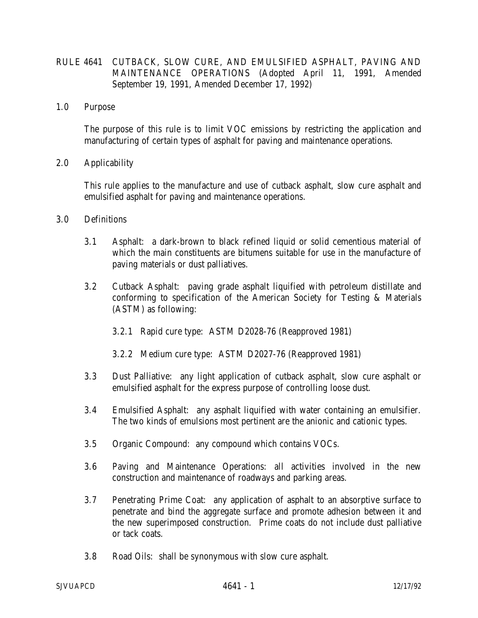## RULE 4641 CUTBACK, SLOW CURE, AND EMULSIFIED ASPHALT, PAVING AND MAINTENANCE OPERATIONS (Adopted April 11, 1991, Amended September 19, 1991, Amended December 17, 1992)

1.0 Purpose

 The purpose of this rule is to limit VOC emissions by restricting the application and manufacturing of certain types of asphalt for paving and maintenance operations.

2.0 Applicability

 This rule applies to the manufacture and use of cutback asphalt, slow cure asphalt and emulsified asphalt for paving and maintenance operations.

- 3.0 Definitions
	- 3.1 Asphalt: a dark-brown to black refined liquid or solid cementious material of which the main constituents are bitumens suitable for use in the manufacture of paving materials or dust palliatives.
	- 3.2 Cutback Asphalt: paving grade asphalt liquified with petroleum distillate and conforming to specification of the American Society for Testing & Materials (ASTM) as following:
		- 3.2.1 Rapid cure type: ASTM D2028-76 (Reapproved 1981)
		- 3.2.2 Medium cure type: ASTM D2027-76 (Reapproved 1981)
	- 3.3 Dust Palliative: any light application of cutback asphalt, slow cure asphalt or emulsified asphalt for the express purpose of controlling loose dust.
	- 3.4 Emulsified Asphalt: any asphalt liquified with water containing an emulsifier. The two kinds of emulsions most pertinent are the anionic and cationic types.
	- 3.5 Organic Compound: any compound which contains VOCs.
	- 3.6 Paving and Maintenance Operations: all activities involved in the new construction and maintenance of roadways and parking areas.
	- 3.7 Penetrating Prime Coat: any application of asphalt to an absorptive surface to penetrate and bind the aggregate surface and promote adhesion between it and the new superimposed construction. Prime coats do not include dust palliative or tack coats.
	- 3.8 Road Oils: shall be synonymous with slow cure asphalt.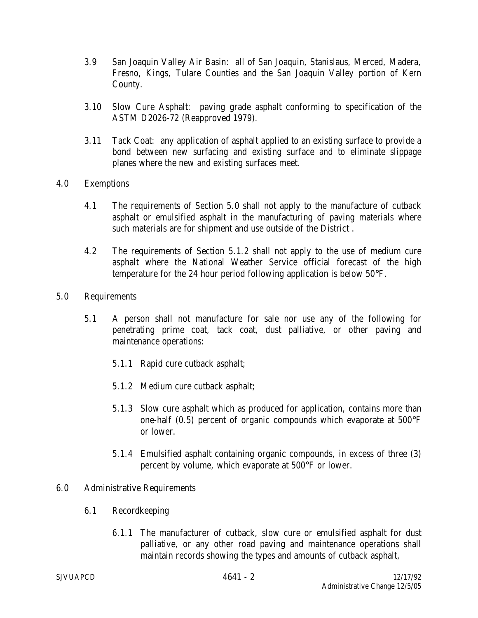- 3.9 San Joaquin Valley Air Basin: all of San Joaquin, Stanislaus, Merced, Madera, Fresno, Kings, Tulare Counties and the San Joaquin Valley portion of Kern County.
- 3.10 Slow Cure Asphalt: paving grade asphalt conforming to specification of the ASTM D2026-72 (Reapproved 1979).
- 3.11 Tack Coat: any application of asphalt applied to an existing surface to provide a bond between new surfacing and existing surface and to eliminate slippage planes where the new and existing surfaces meet.
- 4.0 Exemptions
	- 4.1 The requirements of Section 5.0 shall not apply to the manufacture of cutback asphalt or emulsified asphalt in the manufacturing of paving materials where such materials are for shipment and use outside of the District .
	- 4.2 The requirements of Section 5.1.2 shall not apply to the use of medium cure asphalt where the National Weather Service official forecast of the high temperature for the 24 hour period following application is below 50°F.
- 5.0 Requirements
	- 5.1 A person shall not manufacture for sale nor use any of the following for penetrating prime coat, tack coat, dust palliative, or other paving and maintenance operations:
		- 5.1.1 Rapid cure cutback asphalt;
		- 5.1.2 Medium cure cutback asphalt;
		- 5.1.3 Slow cure asphalt which as produced for application, contains more than one-half (0.5) percent of organic compounds which evaporate at 500°F or lower.
		- 5.1.4 Emulsified asphalt containing organic compounds, in excess of three (3) percent by volume, which evaporate at 500°F or lower.

## 6.0 Administrative Requirements

- 6.1 Recordkeeping
	- 6.1.1 The manufacturer of cutback, slow cure or emulsified asphalt for dust palliative, or any other road paving and maintenance operations shall maintain records showing the types and amounts of cutback asphalt,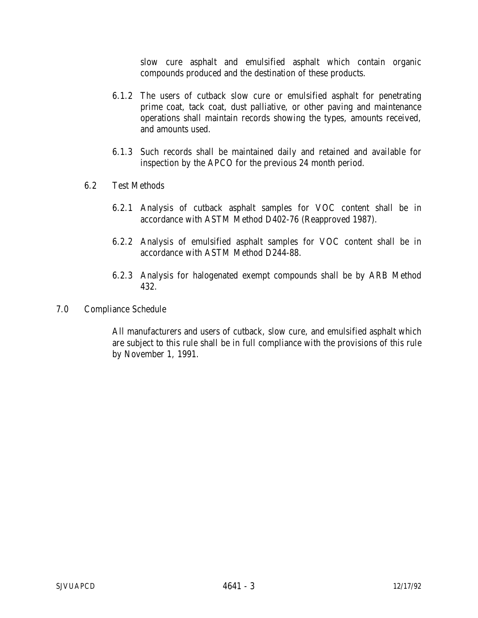slow cure asphalt and emulsified asphalt which contain organic compounds produced and the destination of these products.

- 6.1.2 The users of cutback slow cure or emulsified asphalt for penetrating prime coat, tack coat, dust palliative, or other paving and maintenance operations shall maintain records showing the types, amounts received, and amounts used.
- 6.1.3 Such records shall be maintained daily and retained and available for inspection by the APCO for the previous 24 month period.
- 6.2 Test Methods
	- 6.2.1 Analysis of cutback asphalt samples for VOC content shall be in accordance with ASTM Method D402-76 (Reapproved 1987).
	- 6.2.2 Analysis of emulsified asphalt samples for VOC content shall be in accordance with ASTM Method D244-88.
	- 6.2.3 Analysis for halogenated exempt compounds shall be by ARB Method 432.
- 7.0 Compliance Schedule

 All manufacturers and users of cutback, slow cure, and emulsified asphalt which are subject to this rule shall be in full compliance with the provisions of this rule by November 1, 1991.